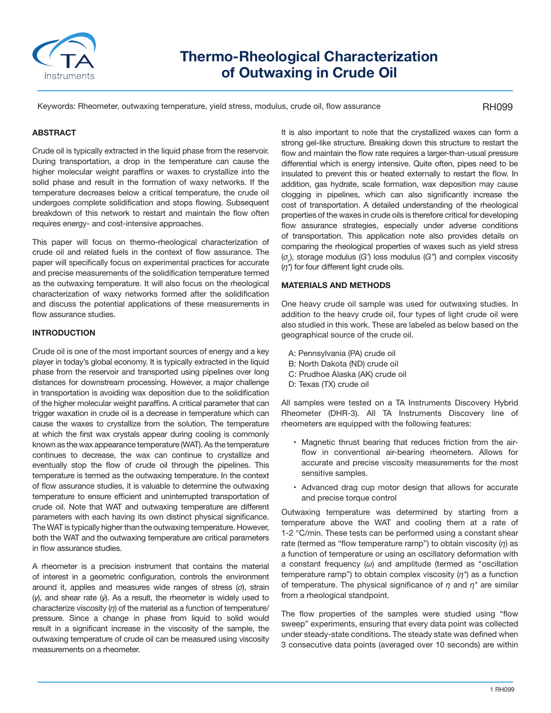

# **Thermo-Rheological Characterization of Outwaxing in Crude Oil**

Keywords: Rheometer, outwaxing temperature, yield stress, modulus, crude oil, flow assurance

# RH099

# **ABSTRACT**

Crude oil is typically extracted in the liquid phase from the reservoir. During transportation, a drop in the temperature can cause the higher molecular weight paraffins or waxes to crystallize into the solid phase and result in the formation of waxy networks. If the temperature decreases below a critical temperature, the crude oil undergoes complete solidification and stops flowing. Subsequent breakdown of this network to restart and maintain the flow often requires energy- and cost-intensive approaches.

This paper will focus on thermo-rheological characterization of crude oil and related fuels in the context of flow assurance. The paper will specifically focus on experimental practices for accurate and precise measurements of the solidification temperature termed as the outwaxing temperature. It will also focus on the rheological characterization of waxy networks formed after the solidification and discuss the potential applications of these measurements in flow assurance studies.

# **INTRODUCTION**

Crude oil is one of the most important sources of energy and a key player in today's global economy. It is typically extracted in the liquid phase from the reservoir and transported using pipelines over long distances for downstream processing. However, a major challenge in transportation is avoiding wax deposition due to the solidification of the higher molecular weight paraffins. A critical parameter that can trigger waxation in crude oil is a decrease in temperature which can cause the waxes to crystallize from the solution. The temperature at which the first wax crystals appear during cooling is commonly known as the wax appearance temperature (WAT). As the temperature continues to decrease, the wax can continue to crystallize and eventually stop the flow of crude oil through the pipelines. This temperature is termed as the outwaxing temperature. In the context of flow assurance studies, it is valuable to determine the outwaxing temperature to ensure efficient and uninterrupted transportation of crude oil. Note that WAT and outwaxing temperature are different parameters with each having its own distinct physical significance. The WAT is typically higher than the outwaxing temperature. However, both the WAT and the outwaxing temperature are critical parameters in flow assurance studies.

A rheometer is a precision instrument that contains the material of interest in a geometric configuration, controls the environment around it, applies and measures wide ranges of stress (*σ*), strain (*γ*), and shear rate (*γ*̇). As a result, the rheometer is widely used to characterize viscosity (*η*) of the material as a function of temperature/ pressure. Since a change in phase from liquid to solid would result in a significant increase in the viscosity of the sample, the outwaxing temperature of crude oil can be measured using viscosity measurements on a rheometer.

It is also important to note that the crystallized waxes can form a strong gel-like structure. Breaking down this structure to restart the flow and maintain the flow rate requires a larger-than-usual pressure differential which is energy intensive. Quite often, pipes need to be insulated to prevent this or heated externally to restart the flow. In addition, gas hydrate, scale formation, wax deposition may cause clogging in pipelines, which can also significantly increase the cost of transportation. A detailed understanding of the rheological properties of the waxes in crude oils is therefore critical for developing flow assurance strategies, especially under adverse conditions of transportation. This application note also provides details on comparing the rheological properties of waxes such as yield stress (*σy* ), storage modulus (*G'*) loss modulus (*G"*) and complex viscosity (*η\**) for four different light crude oils.

## **MATERIALS AND METHODS**

One heavy crude oil sample was used for outwaxing studies. In addition to the heavy crude oil, four types of light crude oil were also studied in this work. These are labeled as below based on the geographical source of the crude oil.

- A: Pennsylvania (PA) crude oil
- B: North Dakota (ND) crude oil
- C: Prudhoe Alaska (AK) crude oil
- D: Texas (TX) crude oil

All samples were tested on a TA Instruments Discovery Hybrid Rheometer (DHR-3). All TA Instruments Discovery line of rheometers are equipped with the following features:

- Magnetic thrust bearing that reduces friction from the airflow in conventional air-bearing rheometers. Allows for accurate and precise viscosity measurements for the most sensitive samples.
- Advanced drag cup motor design that allows for accurate and precise torque control

Outwaxing temperature was determined by starting from a temperature above the WAT and cooling them at a rate of 1-2 °C/min. These tests can be performed using a constant shear rate (termed as "flow temperature ramp") to obtain viscosity (*η*) as a function of temperature or using an oscillatory deformation with a constant frequency (*ω*) and amplitude (termed as "oscillation temperature ramp") to obtain complex viscosity (*η\**) as a function of temperature. The physical significance of *η* and *η\** are similar from a rheological standpoint.

The flow properties of the samples were studied using "flow sweep" experiments, ensuring that every data point was collected under steady-state conditions. The steady state was defined when 3 consecutive data points (averaged over 10 seconds) are within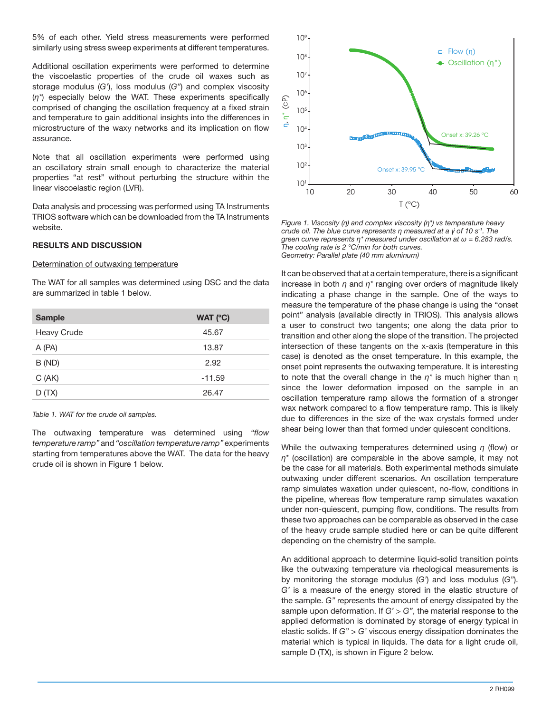5% of each other. Yield stress measurements were performed similarly using stress sweep experiments at different temperatures.

Additional oscillation experiments were performed to determine the viscoelastic properties of the crude oil waxes such as storage modulus (*G'*), loss modulus (*G"*) and complex viscosity (*η\**) especially below the WAT. These experiments specifically comprised of changing the oscillation frequency at a fixed strain and temperature to gain additional insights into the differences in microstructure of the waxy networks and its implication on flow assurance.

Note that all oscillation experiments were performed using an oscillatory strain small enough to characterize the material properties "at rest" without perturbing the structure within the linear viscoelastic region (LVR).

Data analysis and processing was performed using TA Instruments TRIOS software which can be downloaded from the TA Instruments website.

## **RESULTS AND DISCUSSION**

#### Determination of outwaxing temperature

The WAT for all samples was determined using DSC and the data are summarized in table 1 below.

| <b>Sample</b>      | WAT (°C) |
|--------------------|----------|
| <b>Heavy Crude</b> | 45.67    |
| A (PA)             | 13.87    |
| B (ND)             | 2.92     |
| C(AK)              | $-11.59$ |
| D(TX)              | 26.47    |

*Table 1. WAT for the crude oil samples.*

The outwaxing temperature was determined using *"flow temperature ramp"* and *"oscillation temperature ramp"* experiments starting from temperatures above the WAT. The data for the heavy crude oil is shown in Figure 1 below.



*Figure 1. Viscosity (η) and complex viscosity (η\*) vs temperature heavy crude oil. The blue curve represents η measured at a γ̇ of 10 s-1. The green curve represents η\* measured under oscillation at ω = 6.283 rad/s. The cooling rate is 2 °C/min for both curves. Geometry: Parallel plate (40 mm aluminum)*

It can be observed that at a certain temperature, there is a significant increase in both *η* and *η\** ranging over orders of magnitude likely indicating a phase change in the sample. One of the ways to measure the temperature of the phase change is using the "onset point" analysis (available directly in TRIOS). This analysis allows a user to construct two tangents; one along the data prior to transition and other along the slope of the transition. The projected intersection of these tangents on the x-axis (temperature in this case) is denoted as the onset temperature. In this example, the onset point represents the outwaxing temperature. It is interesting to note that the overall change in the *η\** is much higher than η since the lower deformation imposed on the sample in an oscillation temperature ramp allows the formation of a stronger wax network compared to a flow temperature ramp. This is likely due to differences in the size of the wax crystals formed under shear being lower than that formed under quiescent conditions.

While the outwaxing temperatures determined using *η* (flow) or *η\** (oscillation) are comparable in the above sample, it may not be the case for all materials. Both experimental methods simulate outwaxing under different scenarios. An oscillation temperature ramp simulates waxation under quiescent, no-flow, conditions in the pipeline, whereas flow temperature ramp simulates waxation under non-quiescent, pumping flow, conditions. The results from these two approaches can be comparable as observed in the case of the heavy crude sample studied here or can be quite different depending on the chemistry of the sample.

An additional approach to determine liquid-solid transition points like the outwaxing temperature via rheological measurements is by monitoring the storage modulus (*G'*) and loss modulus (*G"*). *G'* is a measure of the energy stored in the elastic structure of the sample. *G"* represents the amount of energy dissipated by the sample upon deformation. If  $G' > G''$ , the material response to the applied deformation is dominated by storage of energy typical in elastic solids. If *G"* > *G'* viscous energy dissipation dominates the material which is typical in liquids. The data for a light crude oil, sample D (TX), is shown in Figure 2 below.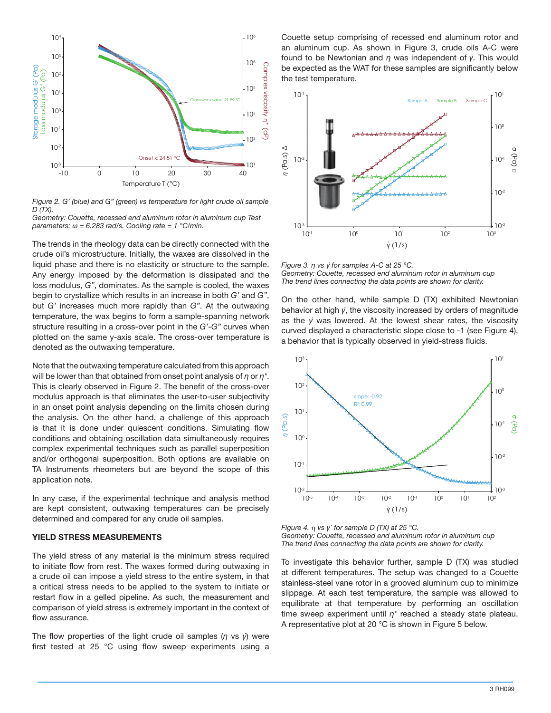

*Figure 2. G' (blue) and G" (green) vs temperature for light crude oil sample D (TX).* 

*Geometry: Couette, recessed end aluminum rotor in aluminum cup Test parameters: ω = 6.283 rad/s. Cooling rate = 1 °C/min.*

The trends in the rheology data can be directly connected with the crude oil's microstructure. Initially, the waxes are dissolved in the liquid phase and there is no elasticity or structure to the sample. Any energy imposed by the deformation is dissipated and the loss modulus, *G"*, dominates. As the sample is cooled, the waxes begin to crystallize which results in an increase in both *G'* and *G"*, but *G'* increases much more rapidly than *G"*. At the outwaxing temperature, the wax begins to form a sample-spanning network structure resulting in a cross-over point in the *G'*-*G"* curves when plotted on the same y-axis scale. The cross-over temperature is denoted as the outwaxing temperature.

Note that the outwaxing temperature calculated from this approach will be lower than that obtained from onset point analysis of *η* or *η\**. This is clearly observed in Figure 2. The benefit of the cross-over modulus approach is that eliminates the user-to-user subjectivity in an onset point analysis depending on the limits chosen during the analysis. On the other hand, a challenge of this approach is that it is done under quiescent conditions. Simulating flow conditions and obtaining oscillation data simultaneously requires complex experimental techniques such as parallel superposition and/or orthogonal superposition. Both options are available on TA Instruments rheometers but are beyond the scope of this application note.

In any case, if the experimental technique and analysis method are kept consistent, outwaxing temperatures can be precisely determined and compared for any crude oil samples.

#### **YIELD STRESS MEASUREMENTS**

The yield stress of any material is the minimum stress required to initiate flow from rest. The waxes formed during outwaxing in a crude oil can impose a yield stress to the entire system, in that a critical stress needs to be applied to the system to initiate or restart flow in a gelled pipeline. As such, the measurement and comparison of yield stress is extremely important in the context of flow assurance.

The flow properties of the light crude oil samples (*η* vs *γ*̇) were first tested at 25 °C using flow sweep experiments using a Couette setup comprising of recessed end aluminum rotor and an aluminum cup. As shown in Figure 3, crude oils A-C were found to be Newtonian and *η* was independent of *γ*̇. This would be expected as the WAT for these samples are significantly below the test temperature.



*Figure 3. η vs γ̇ for samples A-C at 25 °C. Geometry: Couette, recessed end aluminum rotor in aluminum cup The trend lines connecting the data points are shown for clarity.* 

On the other hand, while sample D (TX) exhibited Newtonian behavior at high *γ̇*, the viscosity increased by orders of magnitude as the *γ̇* was lowered. At the lowest shear rates, the viscosity curved displayed a characteristic slope close to -1 (see Figure 4), a behavior that is typically observed in yield-stress fluids.



*Figure 4.* η *vs γ ̇ for sample D (TX) at 25 °C. Geometry: Couette, recessed end aluminum rotor in aluminum cup The trend lines connecting the data points are shown for clarity.*

To investigate this behavior further, sample D (TX) was studied at different temperatures. The setup was changed to a Couette stainless-steel vane rotor in a grooved aluminum cup to minimize slippage. At each test temperature, the sample was allowed to equilibrate at that temperature by performing an oscillation time sweep experiment until *η\** reached a steady state plateau.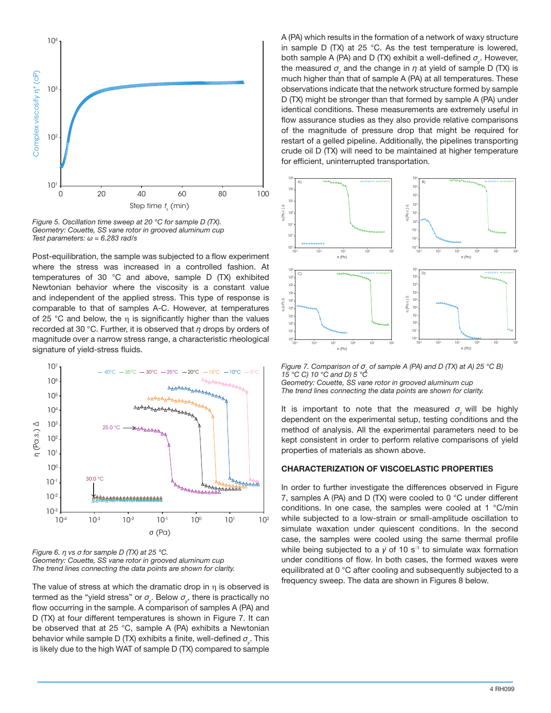

*Figure 5. Oscillation time sweep at 20 °C for sample D (TX). Geometry: Couette, SS vane rotor in grooved aluminum cup Test parameters: ω = 6.283 rad/s*

Post-equilibration, the sample was subjected to a flow experiment where the stress was increased in a controlled fashion. At temperatures of 30 °C and above, sample D (TX) exhibited Newtonian behavior where the viscosity is a constant value and independent of the applied stress. This type of response is comparable to that of samples A-C. However, at temperatures of 25 °C and below, the  $\eta$  is significantly higher than the values recorded at 30 °C. Further, it is observed that *η* drops by orders of magnitude over a narrow stress range, a characteristic rheological signature of yield-stress fluids.



*Figure 6. η vs σ for sample D (TX) at 25 °C. Geometry: Couette, SS vane rotor in grooved aluminum cup The trend lines connecting the data points are shown for clarity.*

The value of stress at which the dramatic drop in η is observed is termed as the "yield stress" or  $\sigma_{\!_\gamma}$ . Below  $\sigma_{\!_\gamma}$ , there is practically no flow occurring in the sample. A comparison of samples A (PA) and D (TX) at four different temperatures is shown in Figure 7. It can be observed that at 25 °C, sample A (PA) exhibits a Newtonian behavior while sample D (TX) exhibits a finite, well-defined *σy* . This is likely due to the high WAT of sample D (TX) compared to sample

A (PA) which results in the formation of a network of waxy structure in sample D (TX) at 25 °C. As the test temperature is lowered, both sample A (PA) and D (TX) exhibit a well-defined *σy* . However, the measured  $\sigma_{\!_\text{y}}$  and the change in  $\eta$  at yield of sample D (TX) is much higher than that of sample A (PA) at all temperatures. These observations indicate that the network structure formed by sample D (TX) might be stronger than that formed by sample A (PA) under identical conditions. These measurements are extremely useful in flow assurance studies as they also provide relative comparisons of the magnitude of pressure drop that might be required for restart of a gelled pipeline. Additionally, the pipelines transporting crude oil D (TX) will need to be maintained at higher temperature for efficient, uninterrupted transportation.



*Figure 7. Comparison of σ<sub>y</sub> of sample A (PA) and D (TX) at A) 25 °C B) 15 °C C) 10 °C and D) 5 °C Geometry: Couette, SS vane rotor in grooved aluminum cup The trend lines connecting the data points are shown for clarity.*

It is important to note that the measured  $\sigma$  will be highly dependent on the experimental setup, testing conditions and the method of analysis. All the experimental parameters need to be kept consistent in order to perform relative comparisons of yield properties of materials as shown above.

#### **CHARACTERIZATION OF VISCOELASTIC PROPERTIES**

In order to further investigate the differences observed in Figure 7, samples A (PA) and D (TX) were cooled to 0 °C under different conditions. In one case, the samples were cooled at 1 °C/min while subjected to a low-strain or small-amplitude oscillation to simulate waxation under quiescent conditions. In the second case, the samples were cooled using the same thermal profile while being subjected to a  $\dot{y}$  of 10 s<sup>-1</sup> to simulate wax formation under conditions of flow. In both cases, the formed waxes were equilibrated at 0 °C after cooling and subsequently subjected to a frequency sweep. The data are shown in Figures 8 below.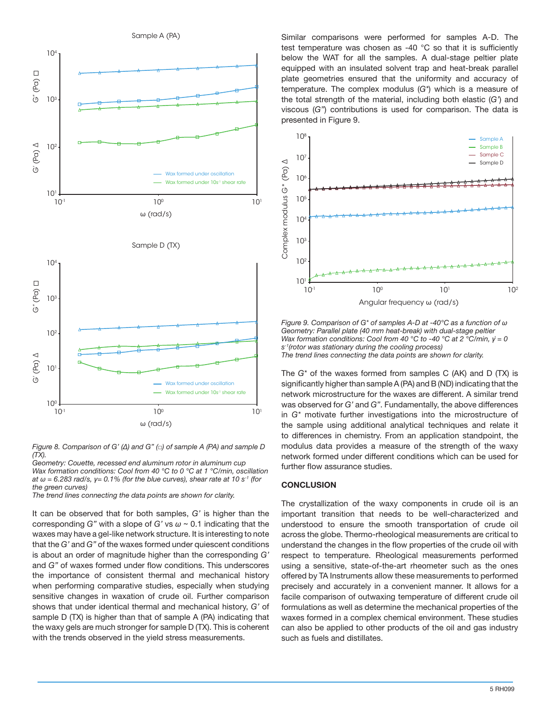

*Figure 8. Comparison of G' (∆) and G" (□) of sample A (PA) and sample D (TX).* 

*Geometry: Couette, recessed end aluminum rotor in aluminum cup Wax formation conditions: Cool from 40 °C to 0 °C at 1 °C/min, oscillation at*  $\omega$  *= 6.283 rad/s, y= 0.1% (for the blue curves), shear rate at 10 s<sup>-1</sup> (for the green curves)* 

*The trend lines connecting the data points are shown for clarity.*

It can be observed that for both samples, *G'* is higher than the corresponding *G"* with a slope of *G'* vs *ω* ~ 0.1 indicating that the waxes may have a gel-like network structure. It is interesting to note that the *G'* and *G"* of the waxes formed under quiescent conditions is about an order of magnitude higher than the corresponding *G'* and *G"* of waxes formed under flow conditions. This underscores the importance of consistent thermal and mechanical history when performing comparative studies, especially when studying sensitive changes in waxation of crude oil. Further comparison shows that under identical thermal and mechanical history, *G'* of sample D (TX) is higher than that of sample A (PA) indicating that the waxy gels are much stronger for sample D (TX). This is coherent with the trends observed in the yield stress measurements.

Similar comparisons were performed for samples A-D. The test temperature was chosen as -40 °C so that it is sufficiently below the WAT for all the samples. A dual-stage peltier plate equipped with an insulated solvent trap and heat-break parallel plate geometries ensured that the uniformity and accuracy of temperature. The complex modulus (*G\**) which is a measure of the total strength of the material, including both elastic (*G'*) and viscous (*G"*) contributions is used for comparison. The data is presented in Figure 9.



*Figure 9. Comparison of G\* of samples A-D at -40°C as a function of ω Geometry: Parallel plate (40 mm heat-break) with dual-stage peltier Wax formation conditions: Cool from 40 °C to -40 °C at 2 °C/min,*  $\dot{v} = 0$ *s-1(rotor was stationary during the cooling process) The trend lines connecting the data points are shown for clarity.*

The *G\** of the waxes formed from samples C (AK) and D (TX) is significantly higher than sample A (PA) and B (ND) indicating that the network microstructure for the waxes are different. A similar trend was observed for *G'* and *G"*. Fundamentally, the above differences in *G\** motivate further investigations into the microstructure of the sample using additional analytical techniques and relate it to differences in chemistry. From an application standpoint, the modulus data provides a measure of the strength of the waxy network formed under different conditions which can be used for further flow assurance studies.

## **CONCLUSION**

The crystallization of the waxy components in crude oil is an important transition that needs to be well-characterized and understood to ensure the smooth transportation of crude oil across the globe. Thermo-rheological measurements are critical to understand the changes in the flow properties of the crude oil with respect to temperature. Rheological measurements performed using a sensitive, state-of-the-art rheometer such as the ones offered by TA Instruments allow these measurements to performed precisely and accurately in a convenient manner. It allows for a facile comparison of outwaxing temperature of different crude oil formulations as well as determine the mechanical properties of the waxes formed in a complex chemical environment. These studies can also be applied to other products of the oil and gas industry such as fuels and distillates.